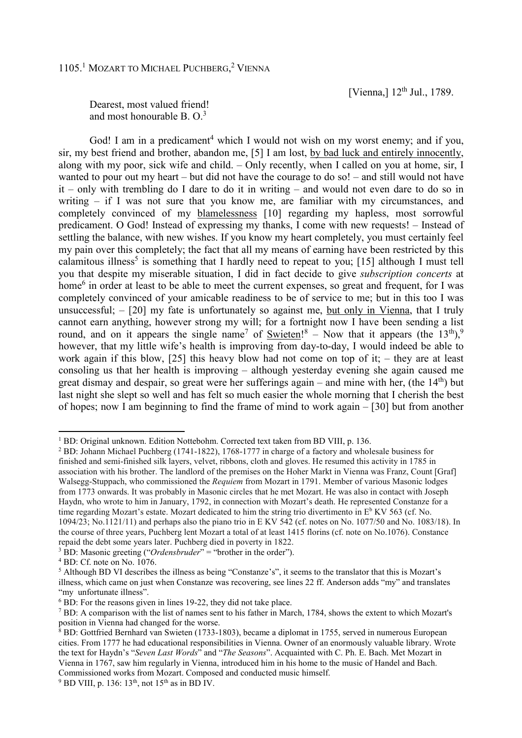[Vienna,] 12<sup>th</sup> Jul., 1789.

Dearest, most valued friend! and most honourable B  $\Omega^3$ 

God! I am in a predicament<sup>4</sup> which I would not wish on my worst enemy; and if you, sir, my best friend and brother, abandon me, [5] I am lost, by bad luck and entirely innocently, along with my poor, sick wife and child. – Only recently, when I called on you at home, sir, I wanted to pour out my heart – but did not have the courage to do so! – and still would not have it – only with trembling do I dare to do it in writing – and would not even dare to do so in writing – if I was not sure that you know me, are familiar with my circumstances, and completely convinced of my blamelessness [10] regarding my hapless, most sorrowful predicament. O God! Instead of expressing my thanks, I come with new requests! – Instead of settling the balance, with new wishes. If you know my heart completely, you must certainly feel my pain over this completely; the fact that all my means of earning have been restricted by this calamitous illness<sup>5</sup> is something that I hardly need to repeat to you; [15] although I must tell you that despite my miserable situation, I did in fact decide to give *subscription concerts* at home<sup>6</sup> in order at least to be able to meet the current expenses, so great and frequent, for I was completely convinced of your amicable readiness to be of service to me; but in this too I was unsuccessful;  $-$  [20] my fate is unfortunately so against me, but only in Vienna, that I truly cannot earn anything, however strong my will; for a fortnight now I have been sending a list round, and on it appears the single name<sup>7</sup> of  $\overline{\text{Switch}}$ <sup>8</sup> – Now that it appears (the 13<sup>th</sup>),<sup>9</sup> however, that my little wife's health is improving from day-to-day, I would indeed be able to work again if this blow, [25] this heavy blow had not come on top of it; – they are at least consoling us that her health is improving – although yesterday evening she again caused me great dismay and despair, so great were her sufferings again – and mine with her, (the  $14<sup>th</sup>$ ) but last night she slept so well and has felt so much easier the whole morning that I cherish the best of hopes; now I am beginning to find the frame of mind to work again – [30] but from another

l

<sup>&</sup>lt;sup>1</sup> BD: Original unknown. Edition Nottebohm. Corrected text taken from BD VIII, p. 136.

<sup>&</sup>lt;sup>2</sup> BD: Johann Michael Puchberg (1741-1822), 1768-1777 in charge of a factory and wholesale business for finished and semi-finished silk layers, velvet, ribbons, cloth and gloves. He resumed this activity in 1785 in association with his brother. The landlord of the premises on the Hoher Markt in Vienna was Franz, Count [Graf] Walsegg-Stuppach, who commissioned the *Requiem* from Mozart in 1791. Member of various Masonic lodges from 1773 onwards. It was probably in Masonic circles that he met Mozart. He was also in contact with Joseph Haydn, who wrote to him in January, 1792, in connection with Mozart's death. He represented Constanze for a time regarding Mozart's estate. Mozart dedicated to him the string trio divertimento in  $E<sup>b</sup>$  KV 563 (cf. No. 1094/23; No.1121/11) and perhaps also the piano trio in E KV 542 (cf. notes on No. 1077/50 and No. 1083/18). In the course of three years, Puchberg lent Mozart a total of at least 1415 florins (cf. note on No.1076). Constance repaid the debt some years later. Puchberg died in poverty in 1822.

<sup>&</sup>lt;sup>3</sup> BD: Masonic greeting ("*Ordensbruder*" = "brother in the order").

<sup>4</sup> BD: Cf. note on No. 1076.

<sup>&</sup>lt;sup>5</sup> Although BD VI describes the illness as being "Constanze's", it seems to the translator that this is Mozart's illness, which came on just when Constanze was recovering, see lines 22 ff. Anderson adds "my" and translates "my unfortunate illness".

<sup>6</sup> BD: For the reasons given in lines 19-22, they did not take place.

<sup>&</sup>lt;sup>7</sup> BD: A comparison with the list of names sent to his father in March, 1784, shows the extent to which Mozart's position in Vienna had changed for the worse.

<sup>&</sup>lt;sup>8</sup> BD: Gottfried Bernhard van Swieten (1733-1803), became a diplomat in 1755, served in numerous European cities. From 1777 he had educational responsibilities in Vienna. Owner of an enormously valuable library. Wrote the text for Haydn's "*Seven Last Words*" and "*The Seasons*". Acquainted with C. Ph. E. Bach. Met Mozart in Vienna in 1767, saw him regularly in Vienna, introduced him in his home to the music of Handel and Bach. Commissioned works from Mozart. Composed and conducted music himself.

 $9$  BD VIII, p. 136: 13<sup>th</sup>, not 15<sup>th</sup> as in BD IV.